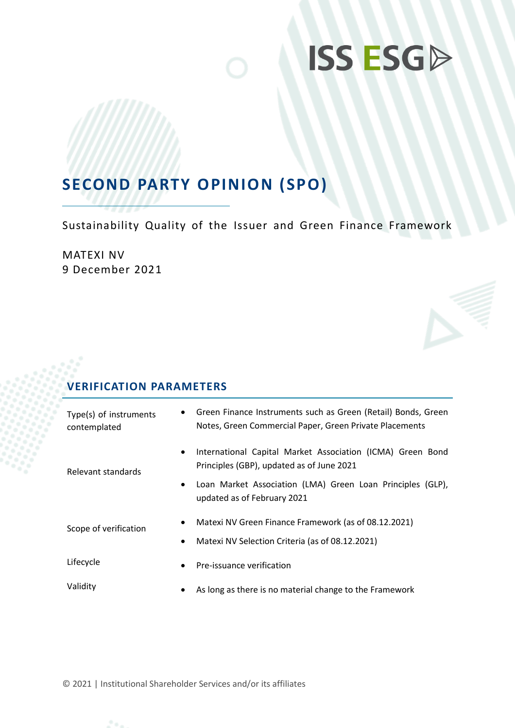## **SECOND PARTY OPINION (SPO)**

Sustainability Quality of the Issuer and Green Finance Framework

MATEXI NV 9 December 2021

### **VERIFICATION PARAMETERS**

| $\bullet$<br>Type(s) of instruments<br>contemplated | Green Finance Instruments such as Green (Retail) Bonds, Green<br>Notes, Green Commercial Paper, Green Private Placements |  |
|-----------------------------------------------------|--------------------------------------------------------------------------------------------------------------------------|--|
| Relevant standards                                  | International Capital Market Association (ICMA) Green Bond<br>Principles (GBP), updated as of June 2021                  |  |
| $\bullet$                                           | Loan Market Association (LMA) Green Loan Principles (GLP),<br>updated as of February 2021                                |  |
| Scope of verification                               | Matexi NV Green Finance Framework (as of 08.12.2021)                                                                     |  |
| $\bullet$                                           | Matexi NV Selection Criteria (as of 08.12.2021)                                                                          |  |
| Lifecycle<br>$\bullet$                              | Pre-issuance verification                                                                                                |  |
| Validity<br>٠                                       | As long as there is no material change to the Framework                                                                  |  |

© 2021 | Institutional Shareholder Services and/or its affiliates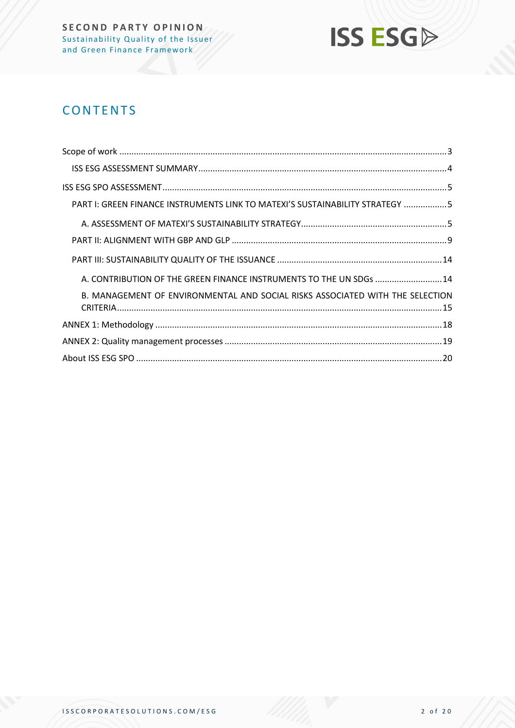

## **CONTENTS**

| PART I: GREEN FINANCE INSTRUMENTS LINK TO MATEXI'S SUSTAINABILITY STRATEGY 5  |  |
|-------------------------------------------------------------------------------|--|
|                                                                               |  |
|                                                                               |  |
|                                                                               |  |
| A. CONTRIBUTION OF THE GREEN FINANCE INSTRUMENTS TO THE UN SDGs  14           |  |
| B. MANAGEMENT OF ENVIRONMENTAL AND SOCIAL RISKS ASSOCIATED WITH THE SELECTION |  |
|                                                                               |  |
|                                                                               |  |
|                                                                               |  |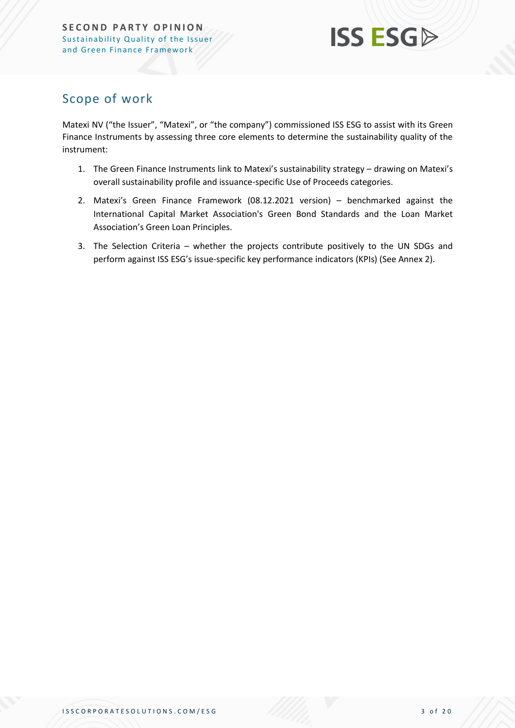## <span id="page-2-0"></span>Scope of work

Matexi NV ("the Issuer", "Matexi", or "the company") commissioned ISS ESG to assist with its Green Finance Instruments by assessing three core elements to determine the sustainability quality of the instrument:

- 1. The Green Finance Instruments link to Matexi's sustainability strategy drawing on Matexi's overall sustainability profile and issuance-specific Use of Proceeds categories.
- 2. Matexi's Green Finance Framework (08.12.2021 version) benchmarked against the International Capital Market Association's Green Bond Standards and the Loan Market Association's Green Loan Principles.
- 3. The Selection Criteria whether the projects contribute positively to the UN SDGs and perform against ISS ESG's issue-specific key performance indicators (KPIs) (See Annex 2).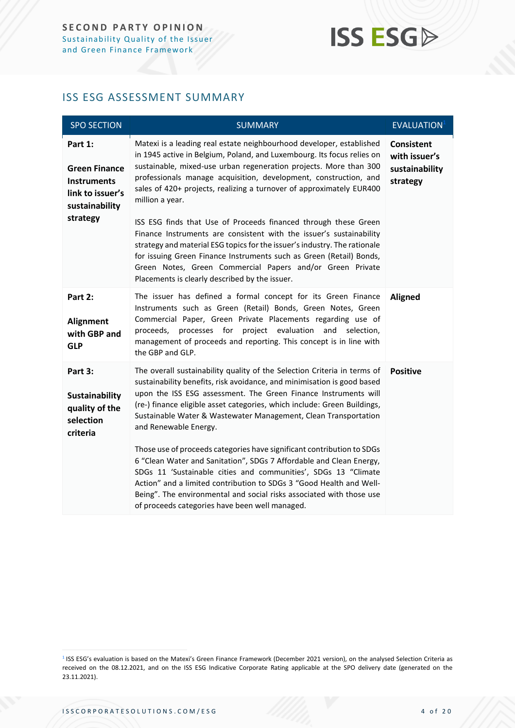### <span id="page-3-0"></span>ISS ESG ASSESSMENT SUMMARY

| <b>SPO SECTION</b>                                                                                      | <b>SUMMARY</b>                                                                                                                                                                                                                                                                                                                                                                                                                                                                                                                                                                                                                                                                                                                                                                                                     | <b>EVALUATION</b> <sup>1</sup>                                   |
|---------------------------------------------------------------------------------------------------------|--------------------------------------------------------------------------------------------------------------------------------------------------------------------------------------------------------------------------------------------------------------------------------------------------------------------------------------------------------------------------------------------------------------------------------------------------------------------------------------------------------------------------------------------------------------------------------------------------------------------------------------------------------------------------------------------------------------------------------------------------------------------------------------------------------------------|------------------------------------------------------------------|
| Part 1:<br><b>Green Finance</b><br><b>Instruments</b><br>link to issuer's<br>sustainability<br>strategy | Matexi is a leading real estate neighbourhood developer, established<br>in 1945 active in Belgium, Poland, and Luxembourg. Its focus relies on<br>sustainable, mixed-use urban regeneration projects. More than 300<br>professionals manage acquisition, development, construction, and<br>sales of 420+ projects, realizing a turnover of approximately EUR400<br>million a year.<br>ISS ESG finds that Use of Proceeds financed through these Green<br>Finance Instruments are consistent with the issuer's sustainability<br>strategy and material ESG topics for the issuer's industry. The rationale<br>for issuing Green Finance Instruments such as Green (Retail) Bonds,<br>Green Notes, Green Commercial Papers and/or Green Private<br>Placements is clearly described by the issuer.                    | <b>Consistent</b><br>with issuer's<br>sustainability<br>strategy |
| Part 2:<br>Alignment<br>with GBP and<br><b>GLP</b>                                                      | The issuer has defined a formal concept for its Green Finance<br>Instruments such as Green (Retail) Bonds, Green Notes, Green<br>Commercial Paper, Green Private Placements regarding use of<br>evaluation<br>processes for<br>project<br>and<br>proceeds,<br>selection.<br>management of proceeds and reporting. This concept is in line with<br>the GBP and GLP.                                                                                                                                                                                                                                                                                                                                                                                                                                                 | <b>Aligned</b>                                                   |
| Part 3:<br>Sustainability<br>quality of the<br>selection<br>criteria                                    | The overall sustainability quality of the Selection Criteria in terms of<br>sustainability benefits, risk avoidance, and minimisation is good based<br>upon the ISS ESG assessment. The Green Finance Instruments will<br>(re-) finance eligible asset categories, which include: Green Buildings,<br>Sustainable Water & Wastewater Management, Clean Transportation<br>and Renewable Energy.<br>Those use of proceeds categories have significant contribution to SDGs<br>6 "Clean Water and Sanitation", SDGs 7 Affordable and Clean Energy,<br>SDGs 11 'Sustainable cities and communities', SDGs 13 "Climate<br>Action" and a limited contribution to SDGs 3 "Good Health and Well-<br>Being". The environmental and social risks associated with those use<br>of proceeds categories have been well managed. | <b>Positive</b>                                                  |

<sup>&</sup>lt;sup>1</sup> ISS ESG's evaluation is based on the Matexi's Green Finance Framework (December 2021 version), on the analysed Selection Criteria as received on the 08.12.2021, and on the ISS ESG Indicative Corporate Rating applicable at the SPO delivery date (generated on the 23.11.2021).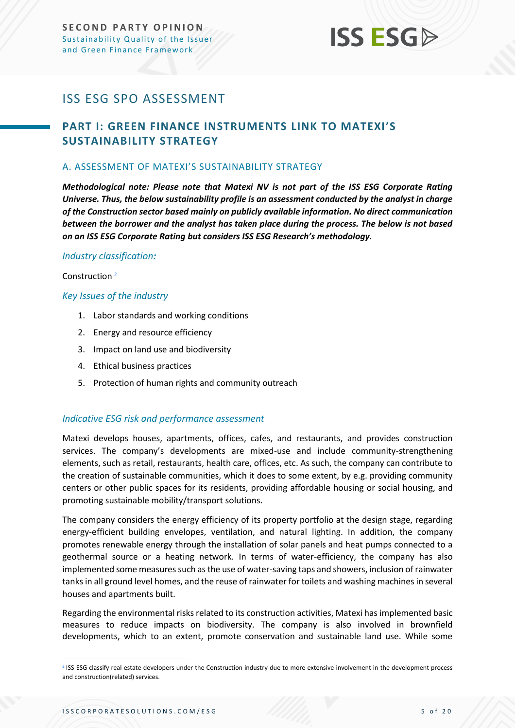## <span id="page-4-0"></span>ISS ESG SPO ASSESSMENT

### <span id="page-4-1"></span>**PART I: GREEN FINANCE INSTRUMENTS LINK TO MATEXI'S SUSTAINABILITY STRATEGY**

#### <span id="page-4-2"></span>A. ASSESSMENT OF MATEXI'S SUSTAINABILITY STRATEGY

*Methodological note: Please note that Matexi NV is not part of the ISS ESG Corporate Rating Universe. Thus, the below sustainability profile is an assessment conducted by the analyst in charge of the Construction sector based mainly on publicly available information. No direct communication between the borrower and the analyst has taken place during the process. The below is not based on an ISS ESG Corporate Rating but considers ISS ESG Research's methodology.*

#### *Industry classification:*

Construction <sup>2</sup>

#### *Key Issues of the industry*

- 1. Labor standards and working conditions
- 2. Energy and resource efficiency
- 3. Impact on land use and biodiversity
- 4. Ethical business practices
- 5. Protection of human rights and community outreach

#### *Indicative ESG risk and performance assessment*

Matexi develops houses, apartments, offices, cafes, and restaurants, and provides construction services. The company's developments are mixed-use and include community-strengthening elements, such as retail, restaurants, health care, offices, etc. As such, the company can contribute to the creation of sustainable communities, which it does to some extent, by e.g. providing community centers or other public spaces for its residents, providing affordable housing or social housing, and promoting sustainable mobility/transport solutions.

The company considers the energy efficiency of its property portfolio at the design stage, regarding energy-efficient building envelopes, ventilation, and natural lighting. In addition, the company promotes renewable energy through the installation of solar panels and heat pumps connected to a geothermal source or a heating network. In terms of water-efficiency, the company has also implemented some measures such as the use of water-saving taps and showers, inclusion of rainwater tanks in all ground level homes, and the reuse of rainwater for toilets and washing machines in several houses and apartments built.

Regarding the environmental risks related to its construction activities, Matexi has implemented basic measures to reduce impacts on biodiversity. The company is also involved in brownfield developments, which to an extent, promote conservation and sustainable land use. While some

<sup>&</sup>lt;sup>2</sup> ISS ESG classify real estate developers under the Construction industry due to more extensive involvement in the development process and construction(related) services.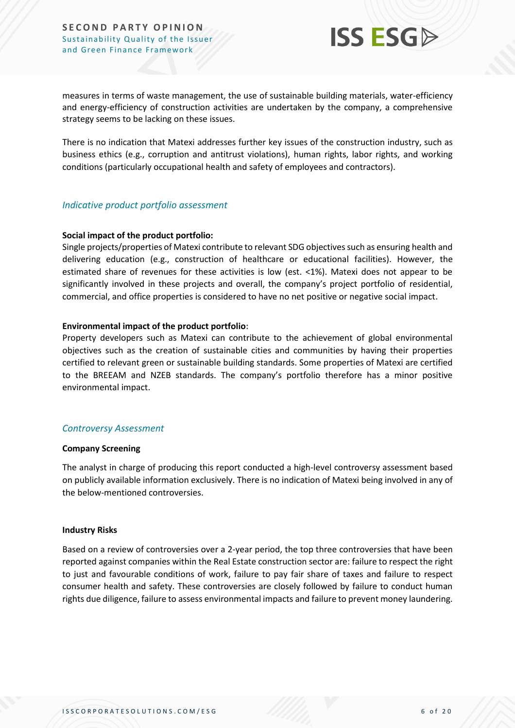

measures in terms of waste management, the use of sustainable building materials, water-efficiency and energy-efficiency of construction activities are undertaken by the company, a comprehensive strategy seems to be lacking on these issues.

There is no indication that Matexi addresses further key issues of the construction industry, such as business ethics (e.g., corruption and antitrust violations), human rights, labor rights, and working conditions (particularly occupational health and safety of employees and contractors).

#### *Indicative product portfolio assessment*

#### **Social impact of the product portfolio:**

Single projects/properties of Matexi contribute to relevant SDG objectives such as ensuring health and delivering education (e.g., construction of healthcare or educational facilities). However, the estimated share of revenues for these activities is low (est. <1%). Matexi does not appear to be significantly involved in these projects and overall, the company's project portfolio of residential, commercial, and office properties is considered to have no net positive or negative social impact.

#### **Environmental impact of the product portfolio:**

Property developers such as Matexi can contribute to the achievement of global environmental objectives such as the creation of sustainable cities and communities by having their properties certified to relevant green or sustainable building standards. Some properties of Matexi are certified to the BREEAM and NZEB standards. The company's portfolio therefore has a minor positive environmental impact.

#### *Controversy Assessment*

#### **Company Screening**

The analyst in charge of producing this report conducted a high-level controversy assessment based on publicly available information exclusively. There is no indication of Matexi being involved in any of the below-mentioned controversies.

#### **Industry Risks**

Based on a review of controversies over a 2-year period, the top three controversies that have been reported against companies within the Real Estate construction sector are: failure to respect the right to just and favourable conditions of work, failure to pay fair share of taxes and failure to respect consumer health and safety. These controversies are closely followed by failure to conduct human rights due diligence, failure to assess environmental impacts and failure to prevent money laundering.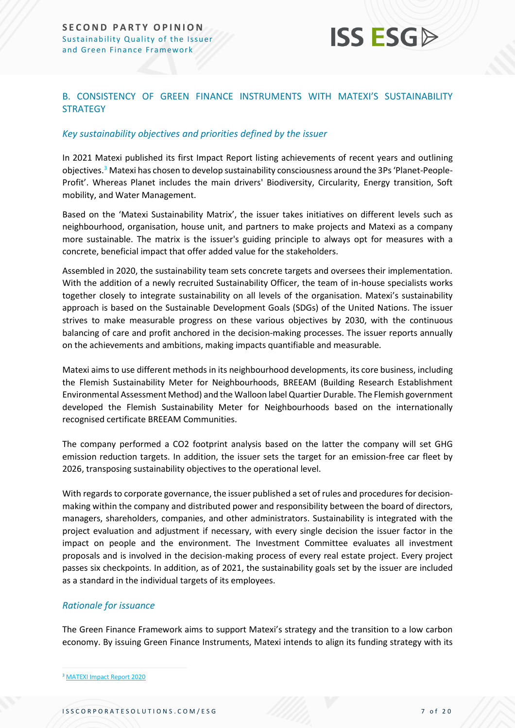

#### B. CONSISTENCY OF GREEN FINANCE INSTRUMENTS WITH MATEXI'S SUSTAINABILITY **STRATEGY**

#### *Key sustainability objectives and priorities defined by the issuer*

In 2021 Matexi published its first Impact Report listing achievements of recent years and outlining objectives.<sup>3</sup> Matexi has chosen to develop sustainability consciousness around the 3Ps 'Planet-People-Profit'. Whereas Planet includes the main drivers' Biodiversity, Circularity, Energy transition, Soft mobility, and Water Management.

Based on the 'Matexi Sustainability Matrix', the issuer takes initiatives on different levels such as neighbourhood, organisation, house unit, and partners to make projects and Matexi as a company more sustainable. The matrix is the issuer's guiding principle to always opt for measures with a concrete, beneficial impact that offer added value for the stakeholders.

Assembled in 2020, the sustainability team sets concrete targets and oversees their implementation. With the addition of a newly recruited Sustainability Officer, the team of in-house specialists works together closely to integrate sustainability on all levels of the organisation. Matexi's sustainability approach is based on the Sustainable Development Goals (SDGs) of the United Nations. The issuer strives to make measurable progress on these various objectives by 2030, with the continuous balancing of care and profit anchored in the decision-making processes. The issuer reports annually on the achievements and ambitions, making impacts quantifiable and measurable.

Matexi aims to use different methods in its neighbourhood developments, its core business, including the Flemish Sustainability Meter for Neighbourhoods, BREEAM (Building Research Establishment Environmental Assessment Method) and the Walloon label Quartier Durable. The Flemish government developed the Flemish Sustainability Meter for Neighbourhoods based on the internationally recognised certificate BREEAM Communities.

The company performed a CO2 footprint analysis based on the latter the company will set GHG emission reduction targets. In addition, the issuer sets the target for an emission-free car fleet by 2026, transposing sustainability objectives to the operational level.

With regards to corporate governance, the issuer published a set of rules and procedures for decisionmaking within the company and distributed power and responsibility between the board of directors, managers, shareholders, companies, and other administrators. Sustainability is integrated with the project evaluation and adjustment if necessary, with every single decision the issuer factor in the impact on people and the environment. The Investment Committee evaluates all investment proposals and is involved in the decision-making process of every real estate project. Every project passes six checkpoints. In addition, as of 2021, the sustainability goals set by the issuer are included as a standard in the individual targets of its employees.

#### *Rationale for issuance*

The Green Finance Framework aims to support Matexi's strategy and the transition to a low carbon economy. By issuing Green Finance Instruments, Matexi intends to align its funding strategy with its

<sup>3</sup> [MATEXI Impact Report 2020](https://www.matexi.be/-/media/images/corporate-pages/investor-relations/impact-report-en.pdf)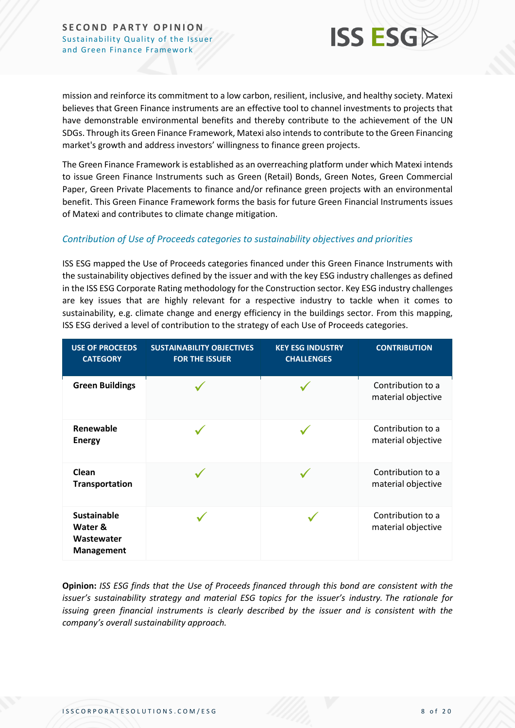

mission and reinforce its commitment to a low carbon, resilient, inclusive, and healthy society. Matexi believes that Green Finance instruments are an effective tool to channel investments to projects that have demonstrable environmental benefits and thereby contribute to the achievement of the UN SDGs. Through its Green Finance Framework, Matexi also intends to contribute to the Green Financing market's growth and address investors' willingness to finance green projects.

The Green Finance Framework is established as an overreaching platform under which Matexi intends to issue Green Finance Instruments such as Green (Retail) Bonds, Green Notes, Green Commercial Paper, Green Private Placements to finance and/or refinance green projects with an environmental benefit. This Green Finance Framework forms the basis for future Green Financial Instruments issues of Matexi and contributes to climate change mitigation.

#### *Contribution of Use of Proceeds categories to sustainability objectives and priorities*

ISS ESG mapped the Use of Proceeds categories financed under this Green Finance Instruments with the sustainability objectives defined by the issuer and with the key ESG industry challenges as defined in the ISS ESG Corporate Rating methodology for the Construction sector. Key ESG industry challenges are key issues that are highly relevant for a respective industry to tackle when it comes to sustainability, e.g. climate change and energy efficiency in the buildings sector. From this mapping, ISS ESG derived a level of contribution to the strategy of each Use of Proceeds categories.

| <b>USE OF PROCEEDS</b><br><b>CATEGORY</b>                 | <b>SUSTAINABILITY OBJECTIVES</b><br><b>FOR THE ISSUER</b> | <b>KEY ESG INDUSTRY</b><br><b>CHALLENGES</b> | <b>CONTRIBUTION</b>                     |
|-----------------------------------------------------------|-----------------------------------------------------------|----------------------------------------------|-----------------------------------------|
| <b>Green Buildings</b>                                    |                                                           |                                              | Contribution to a<br>material objective |
| Renewable<br><b>Energy</b>                                |                                                           |                                              | Contribution to a<br>material objective |
| Clean<br><b>Transportation</b>                            |                                                           |                                              | Contribution to a<br>material objective |
| <b>Sustainable</b><br>Water &<br>Wastewater<br>Management |                                                           |                                              | Contribution to a<br>material objective |

**Opinion:** *ISS ESG finds that the Use of Proceeds financed through this bond are consistent with the issuer's sustainability strategy and material ESG topics for the issuer's industry. The rationale for issuing green financial instruments is clearly described by the issuer and is consistent with the company's overall sustainability approach.*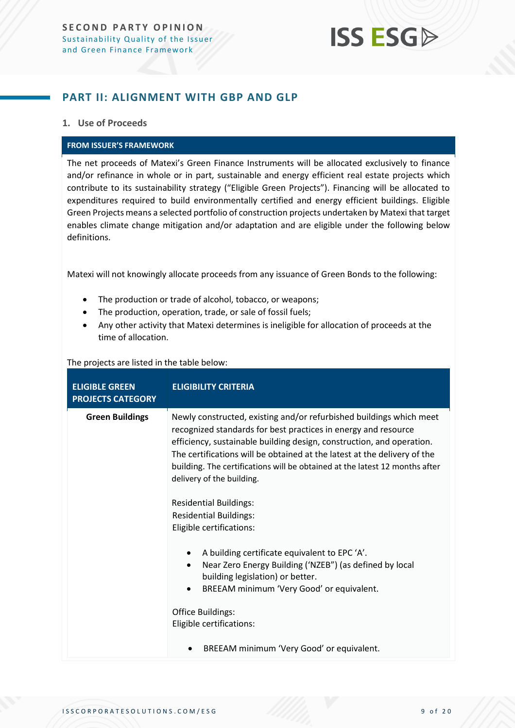### <span id="page-8-0"></span>**PART II: ALIGNMENT WITH GBP AND GLP**

#### **1. Use of Proceeds**

#### **FROM ISSUER'S FRAMEWORK**

The net proceeds of Matexi's Green Finance Instruments will be allocated exclusively to finance and/or refinance in whole or in part, sustainable and energy efficient real estate projects which contribute to its sustainability strategy ("Eligible Green Projects"). Financing will be allocated to expenditures required to build environmentally certified and energy efficient buildings. Eligible Green Projects means a selected portfolio of construction projects undertaken by Matexi that target enables climate change mitigation and/or adaptation and are eligible under the following below definitions.

Matexi will not knowingly allocate proceeds from any issuance of Green Bonds to the following:

- The production or trade of alcohol, tobacco, or weapons;
- The production, operation, trade, or sale of fossil fuels;
- Any other activity that Matexi determines is ineligible for allocation of proceeds at the time of allocation.

#### The projects are listed in the table below:

| <b>ELIGIBLE GREEN</b><br><b>PROJECTS CATEGORY</b> | <b>ELIGIBILITY CRITERIA</b>                                                                                                                                                                                                                                                                                                                                                                            |  |
|---------------------------------------------------|--------------------------------------------------------------------------------------------------------------------------------------------------------------------------------------------------------------------------------------------------------------------------------------------------------------------------------------------------------------------------------------------------------|--|
| <b>Green Buildings</b>                            | Newly constructed, existing and/or refurbished buildings which meet<br>recognized standards for best practices in energy and resource<br>efficiency, sustainable building design, construction, and operation.<br>The certifications will be obtained at the latest at the delivery of the<br>building. The certifications will be obtained at the latest 12 months after<br>delivery of the building. |  |
|                                                   | <b>Residential Buildings:</b><br><b>Residential Buildings:</b><br>Eligible certifications:                                                                                                                                                                                                                                                                                                             |  |
|                                                   | A building certificate equivalent to EPC 'A'.<br>$\bullet$<br>Near Zero Energy Building ('NZEB") (as defined by local<br>$\bullet$<br>building legislation) or better.<br>BREEAM minimum 'Very Good' or equivalent.<br>$\bullet$                                                                                                                                                                       |  |
|                                                   | Office Buildings:<br>Eligible certifications:                                                                                                                                                                                                                                                                                                                                                          |  |
|                                                   | BREEAM minimum 'Very Good' or equivalent.                                                                                                                                                                                                                                                                                                                                                              |  |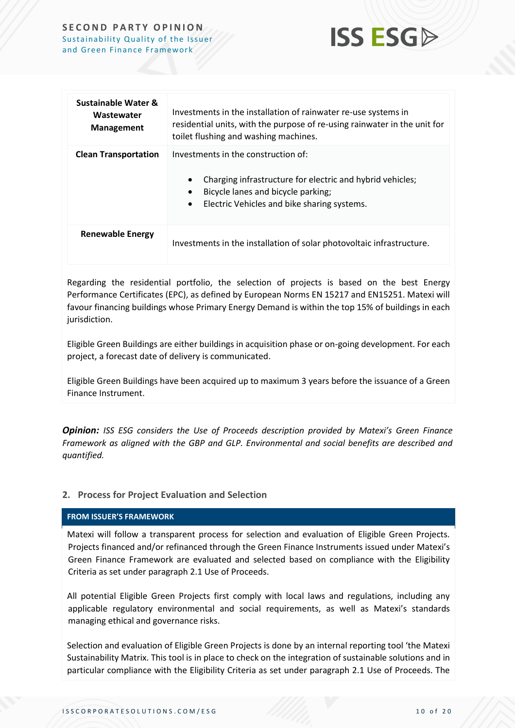

| Sustainable Water &<br>Wastewater<br><b>Management</b> | Investments in the installation of rainwater re-use systems in<br>residential units, with the purpose of re-using rainwater in the unit for<br>toilet flushing and washing machines.               |  |
|--------------------------------------------------------|----------------------------------------------------------------------------------------------------------------------------------------------------------------------------------------------------|--|
| <b>Clean Transportation</b>                            | Investments in the construction of:<br>Charging infrastructure for electric and hybrid vehicles;<br>Bicycle lanes and bicycle parking;<br>Electric Vehicles and bike sharing systems.<br>$\bullet$ |  |
| <b>Renewable Energy</b>                                | Investments in the installation of solar photovoltaic infrastructure.                                                                                                                              |  |

Regarding the residential portfolio, the selection of projects is based on the best Energy Performance Certificates (EPC), as defined by European Norms EN 15217 and EN15251. Matexi will favour financing buildings whose Primary Energy Demand is within the top 15% of buildings in each jurisdiction.

Eligible Green Buildings are either buildings in acquisition phase or on-going development. For each project, a forecast date of delivery is communicated.

Eligible Green Buildings have been acquired up to maximum 3 years before the issuance of a Green Finance Instrument.

*Opinion: ISS ESG considers the Use of Proceeds description provided by Matexi's Green Finance Framework as aligned with the GBP and GLP. Environmental and social benefits are described and quantified.*

#### **2. Process for Project Evaluation and Selection**

#### **FROM ISSUER'S FRAMEWORK**

Matexi will follow a transparent process for selection and evaluation of Eligible Green Projects. Projects financed and/or refinanced through the Green Finance Instruments issued under Matexi's Green Finance Framework are evaluated and selected based on compliance with the Eligibility Criteria as set under paragraph 2.1 Use of Proceeds.

All potential Eligible Green Projects first comply with local laws and regulations, including any applicable regulatory environmental and social requirements, as well as Matexi's standards managing ethical and governance risks.

Selection and evaluation of Eligible Green Projects is done by an internal reporting tool 'the Matexi Sustainability Matrix. This tool is in place to check on the integration of sustainable solutions and in particular compliance with the Eligibility Criteria as set under paragraph 2.1 Use of Proceeds. The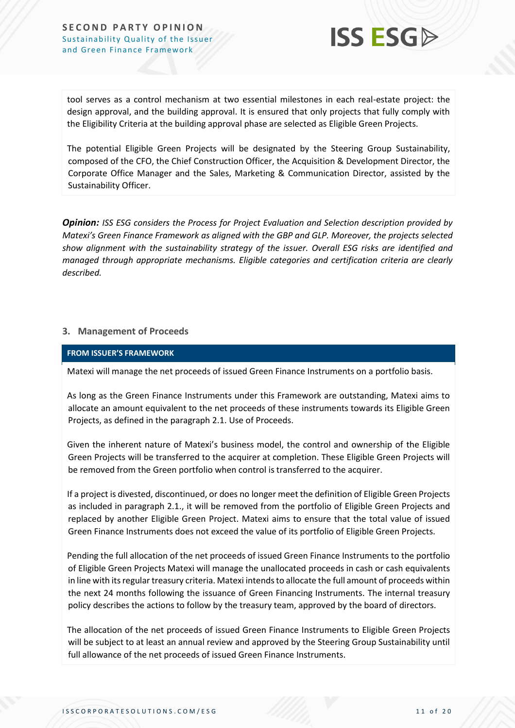

tool serves as a control mechanism at two essential milestones in each real-estate project: the design approval, and the building approval. It is ensured that only projects that fully comply with the Eligibility Criteria at the building approval phase are selected as Eligible Green Projects.

The potential Eligible Green Projects will be designated by the Steering Group Sustainability, composed of the CFO, the Chief Construction Officer, the Acquisition & Development Director, the Corporate Office Manager and the Sales, Marketing & Communication Director, assisted by the Sustainability Officer.

*Opinion: ISS ESG considers the Process for Project Evaluation and Selection description provided by Matexi's Green Finance Framework as aligned with the GBP and GLP. Moreover, the projects selected show alignment with the sustainability strategy of the issuer. Overall ESG risks are identified and managed through appropriate mechanisms. Eligible categories and certification criteria are clearly described.* 

#### **3. Management of Proceeds**

#### **FROM ISSUER'S FRAMEWORK**

Matexi will manage the net proceeds of issued Green Finance Instruments on a portfolio basis.

As long as the Green Finance Instruments under this Framework are outstanding, Matexi aims to allocate an amount equivalent to the net proceeds of these instruments towards its Eligible Green Projects, as defined in the paragraph 2.1. Use of Proceeds.

Given the inherent nature of Matexi's business model, the control and ownership of the Eligible Green Projects will be transferred to the acquirer at completion. These Eligible Green Projects will be removed from the Green portfolio when control is transferred to the acquirer.

If a project is divested, discontinued, or does no longer meet the definition of Eligible Green Projects as included in paragraph 2.1., it will be removed from the portfolio of Eligible Green Projects and replaced by another Eligible Green Project. Matexi aims to ensure that the total value of issued Green Finance Instruments does not exceed the value of its portfolio of Eligible Green Projects.

Pending the full allocation of the net proceeds of issued Green Finance Instruments to the portfolio of Eligible Green Projects Matexi will manage the unallocated proceeds in cash or cash equivalents in line with its regular treasury criteria. Matexi intends to allocate the full amount of proceeds within the next 24 months following the issuance of Green Financing Instruments. The internal treasury policy describes the actions to follow by the treasury team, approved by the board of directors.

The allocation of the net proceeds of issued Green Finance Instruments to Eligible Green Projects will be subject to at least an annual review and approved by the Steering Group Sustainability until full allowance of the net proceeds of issued Green Finance Instruments.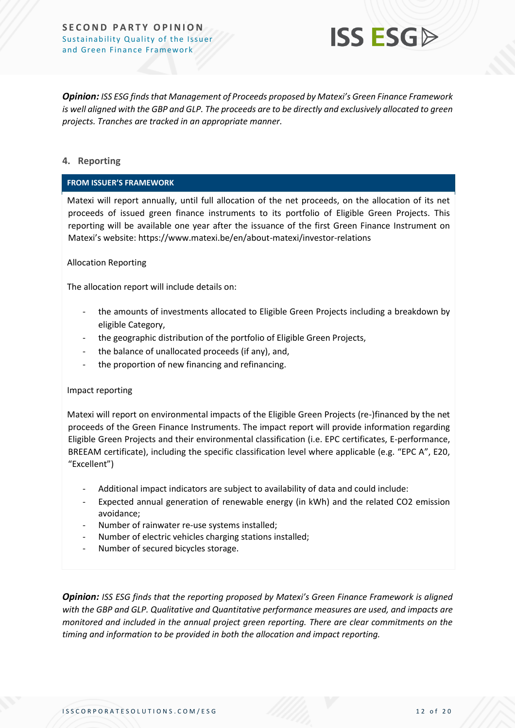

*Opinion: ISS ESG finds that Management of Proceeds proposed by Matexi's Green Finance Framework is well aligned with the GBP and GLP. The proceeds are to be directly and exclusively allocated to green projects. Tranches are tracked in an appropriate manner.*

#### **4. Reporting**

#### **FROM ISSUER'S FRAMEWORK**

Matexi will report annually, until full allocation of the net proceeds, on the allocation of its net proceeds of issued green finance instruments to its portfolio of Eligible Green Projects. This reporting will be available one year after the issuance of the first Green Finance Instrument on Matexi's website: https://www.matexi.be/en/about-matexi/investor-relations

#### Allocation Reporting

The allocation report will include details on:

- the amounts of investments allocated to Eligible Green Projects including a breakdown by eligible Category,
- the geographic distribution of the portfolio of Eligible Green Projects,
- the balance of unallocated proceeds (if any), and,
- the proportion of new financing and refinancing.

#### Impact reporting

Matexi will report on environmental impacts of the Eligible Green Projects (re-)financed by the net proceeds of the Green Finance Instruments. The impact report will provide information regarding Eligible Green Projects and their environmental classification (i.e. EPC certificates, E-performance, BREEAM certificate), including the specific classification level where applicable (e.g. "EPC A", E20, "Excellent")

- Additional impact indicators are subject to availability of data and could include:
- Expected annual generation of renewable energy (in kWh) and the related CO2 emission avoidance;
- Number of rainwater re-use systems installed;
- Number of electric vehicles charging stations installed;
- Number of secured bicycles storage.

*Opinion: ISS ESG finds that the reporting proposed by Matexi's Green Finance Framework is aligned with the GBP and GLP. Qualitative and Quantitative performance measures are used, and impacts are monitored and included in the annual project green reporting. There are clear commitments on the timing and information to be provided in both the allocation and impact reporting.*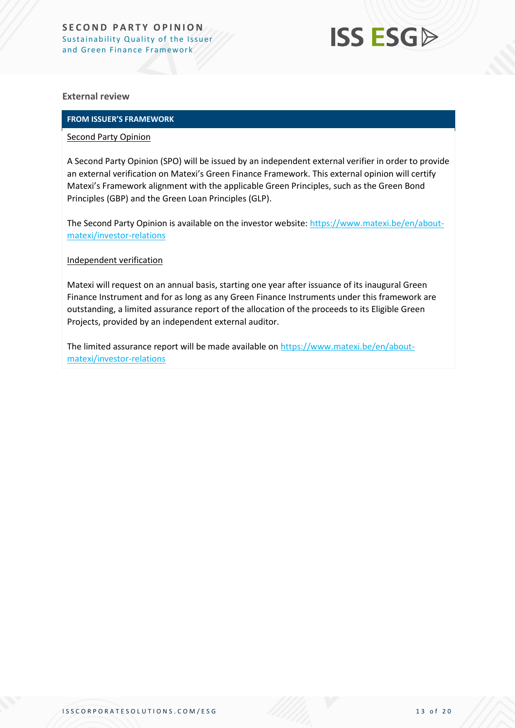## **ISS ESG**

#### **External review**

#### **FROM ISSUER'S FRAMEWORK**

#### Second Party Opinion

A Second Party Opinion (SPO) will be issued by an independent external verifier in order to provide an external verification on Matexi's Green Finance Framework. This external opinion will certify Matexi's Framework alignment with the applicable Green Principles, such as the Green Bond Principles (GBP) and the Green Loan Principles (GLP).

The Second Party Opinion is available on the investor website: [https://www.matexi.be/en/about](https://www.matexi.be/en/about-matexi/investor-relations)[matexi/investor-relations](https://www.matexi.be/en/about-matexi/investor-relations)

#### Independent verification

Matexi will request on an annual basis, starting one year after issuance of its inaugural Green Finance Instrument and for as long as any Green Finance Instruments under this framework are outstanding, a limited assurance report of the allocation of the proceeds to its Eligible Green Projects, provided by an independent external auditor.

The limited assurance report will be made available on [https://www.matexi.be/en/about](https://www.matexi.be/en/about-matexi/investor-relations)[matexi/investor-relations](https://www.matexi.be/en/about-matexi/investor-relations)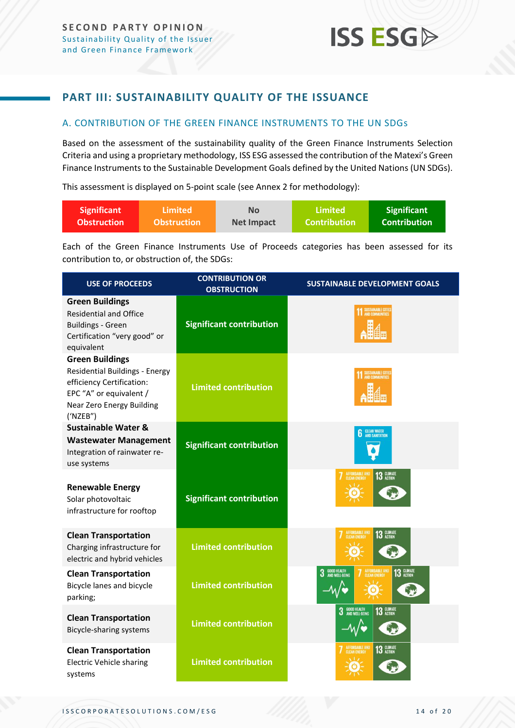### <span id="page-13-0"></span>**PART III: SUSTAINABILITY QUALITY OF THE ISSUANCE**

#### <span id="page-13-1"></span>A. CONTRIBUTION OF THE GREEN FINANCE INSTRUMENTS TO THE UN SDGs

Based on the assessment of the sustainability quality of the Green Finance Instruments Selection Criteria and using a proprietary methodology, ISS ESG assessed the contribution of the Matexi's Green Finance Instruments to the Sustainable Development Goals defined by the United Nations (UN SDGs).

This assessment is displayed on 5-point scale (see Annex 2 for methodology):

| Significant        | \Limited \         | No                | Limited             | <b>Significant</b> |
|--------------------|--------------------|-------------------|---------------------|--------------------|
| <b>Obstruction</b> | <b>Obstruction</b> | <b>Net Impact</b> | <b>Contribution</b> | l Contribution'    |

Each of the Green Finance Instruments Use of Proceeds categories has been assessed for its contribution to, or obstruction of, the SDGs:

| <b>USE OF PROCEEDS</b>                                                                                                                                                  | <b>CONTRIBUTION OR</b><br><b>OBSTRUCTION</b> | <b>SUSTAINABLE DEVELOPMENT GOALS</b>                        |
|-------------------------------------------------------------------------------------------------------------------------------------------------------------------------|----------------------------------------------|-------------------------------------------------------------|
| <b>Green Buildings</b><br><b>Residential and Office</b><br><b>Buildings - Green</b><br>Certification "very good" or<br>equivalent                                       | <b>Significant contribution</b>              |                                                             |
| <b>Green Buildings</b><br><b>Residential Buildings - Energy</b><br>efficiency Certification:<br>EPC "A" or equivalent /<br><b>Near Zero Energy Building</b><br>('NZEB") | <b>Limited contribution</b>                  | SUSTAINABLE CITIE                                           |
| <b>Sustainable Water &amp;</b>                                                                                                                                          |                                              | <b>CLEAN WATER</b><br>AND SANITATION                        |
| <b>Wastewater Management</b><br>Integration of rainwater re-<br>use systems                                                                                             | <b>Significant contribution</b>              |                                                             |
| <b>Renewable Energy</b><br>Solar photovoltaic<br>infrastructure for rooftop                                                                                             | <b>Significant contribution</b>              | AFFORDABLE AND<br>CLEAN ENERGY<br>13 GLIMATE                |
| <b>Clean Transportation</b><br>Charging infrastructure for<br>electric and hybrid vehicles                                                                              | <b>Limited contribution</b>                  | <b>AFFORDABLE AND</b><br>13 GLIMATE                         |
| <b>Clean Transportation</b><br>Bicycle lanes and bicycle<br>parking;                                                                                                    | <b>Limited contribution</b>                  | 13 GLIMATE<br><b>3</b> GOOD HEALTH<br><b>AFFORDABLE AND</b> |
| <b>Clean Transportation</b><br>Bicycle-sharing systems                                                                                                                  | <b>Limited contribution</b>                  | <b>3</b> GOOD HEALTH<br>13 GLIMATE                          |
| <b>Clean Transportation</b><br><b>Electric Vehicle sharing</b><br>systems                                                                                               | <b>Limited contribution</b>                  | AFFORDABLE AND<br>13 GLIMATE                                |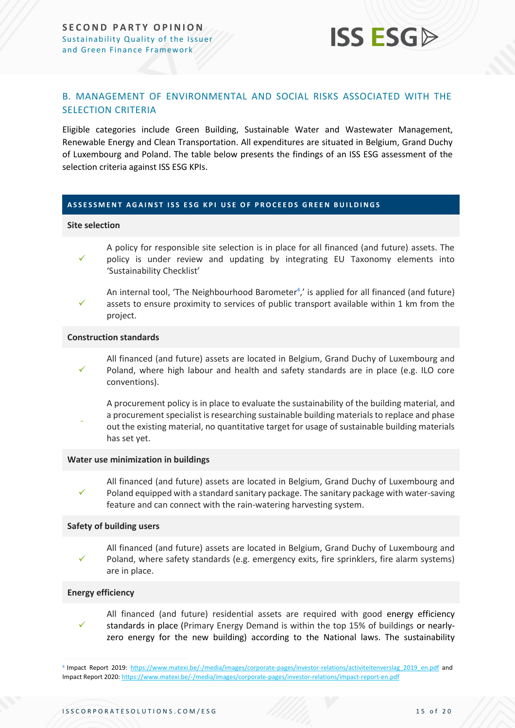

#### <span id="page-14-0"></span>B. MANAGEMENT OF ENVIRONMENTAL AND SOCIAL RISKS ASSOCIATED WITH THE SELECTION CRITERIA

Eligible categories include Green Building, Sustainable Water and Wastewater Management, Renewable Energy and Clean Transportation. All expenditures are situated in Belgium, Grand Duchy of Luxembourg and Poland. The table below presents the findings of an ISS ESG assessment of the selection criteria against ISS ESG KPIs.

#### **A S S E S S M E N T A G A I N S T I S S E S G K P I U S E O F P R O C E E D S G R E E N B U I L D I N G S**

#### **Site selection**

- ✓ A policy for responsible site selection is in place for all financed (and future) assets. The policy is under review and updating by integrating EU Taxonomy elements into 'Sustainability Checklist'
- ✓ An internal tool, 'The Neighbourhood Barometer<sup>4</sup>,' is applied for all financed (and future) assets to ensure proximity to services of public transport available within 1 km from the project.

#### **Construction standards**

- ✓ All financed (and future) assets are located in Belgium, Grand Duchy of Luxembourg and Poland, where high labour and health and safety standards are in place (e.g. ILO core conventions).
- A procurement policy is in place to evaluate the sustainability of the building material, and a procurement specialist is researching sustainable building materials to replace and phase out the existing material, no quantitative target for usage of sustainable building materials has set yet.

#### **Water use minimization in buildings**

✓ All financed (and future) assets are located in Belgium, Grand Duchy of Luxembourg and Poland equipped with a standard sanitary package. The sanitary package with water-saving feature and can connect with the rain-watering harvesting system.

#### **Safety of building users**

✓ All financed (and future) assets are located in Belgium, Grand Duchy of Luxembourg and Poland, where safety standards (e.g. emergency exits, fire sprinklers, fire alarm systems) are in place.

#### **Energy efficiency**

✓ All financed (and future) residential assets are required with good energy efficiency standards in place (Primary Energy Demand is within the top 15% of buildings or nearlyzero energy for the new building) according to the National laws. The sustainability

<sup>&</sup>lt;sup>4</sup> Impact Report 2019: https://www.matexi.be/-/media/images/corporate-pages/investor-relations/activiteitenverslag 2019 en.pdf and Impact Report 2020[: https://www.matexi.be/-/media/images/corporate-pages/investor-relations/impact-report-en.pdf](https://www.matexi.be/-/media/images/corporate-pages/investor-relations/impact-report-en.pdf)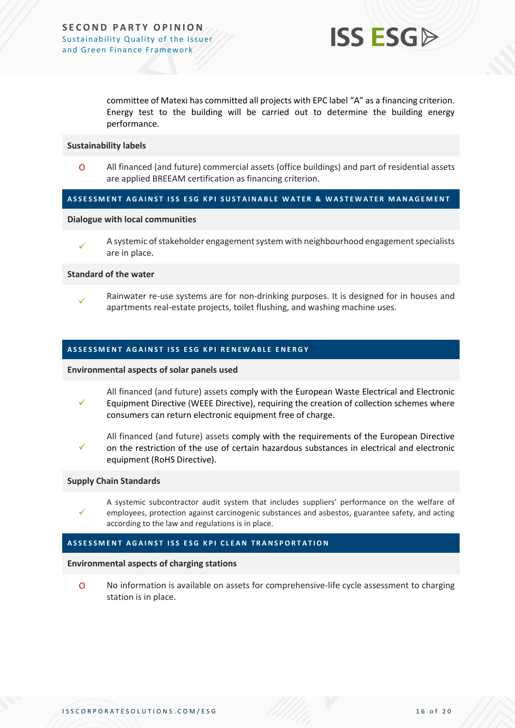

committee of Matexi has committed all projects with EPC label "A" as a financing criterion. Energy test to the building will be carried out to determine the building energy performance.

#### **Sustainability labels**

O All financed (and future) commercial assets (office buildings) and part of residential assets are applied BREEAM certification as financing criterion.

#### A S SE S S MENT A GAINST ISS ESG KPI SUSTAINABLE WATER & WAS TEWATER MANAGEMENT

#### **Dialogue with local communities**

✓ A systemic of stakeholder engagement system with neighbourhood engagement specialists are in place.

#### **Standard of the water**

✓ Rainwater re-use systems are for non-drinking purposes. It is designed for in houses and apartments real-estate projects, toilet flushing, and washing machine uses.

#### **ASSESSMENT AGAINST ISS ESG KPI RENEWABLE ENERGY**

#### **Environmental aspects of solar panels used**

- ✓ All financed (and future) assets comply with the European Waste Electrical and Electronic Equipment Directive (WEEE Directive), requiring the creation of collection schemes where consumers can return electronic equipment free of charge.
- ✓ All financed (and future) assets comply with the requirements of the European Directive on the restriction of the use of certain hazardous substances in electrical and electronic equipment (RoHS Directive).

#### **Supply Chain Standards**

✓

A systemic subcontractor audit system that includes suppliers' performance on the welfare of employees, protection against carcinogenic substances and asbestos, guarantee safety, and acting according to the law and regulations is in place.

#### **ASSESSMENT AGAINST ISS ESG KPI CLEAN TRANSPORTATION**

#### **Environmental aspects of charging stations**

O No information is available on assets for comprehensive-life cycle assessment to charging station is in place.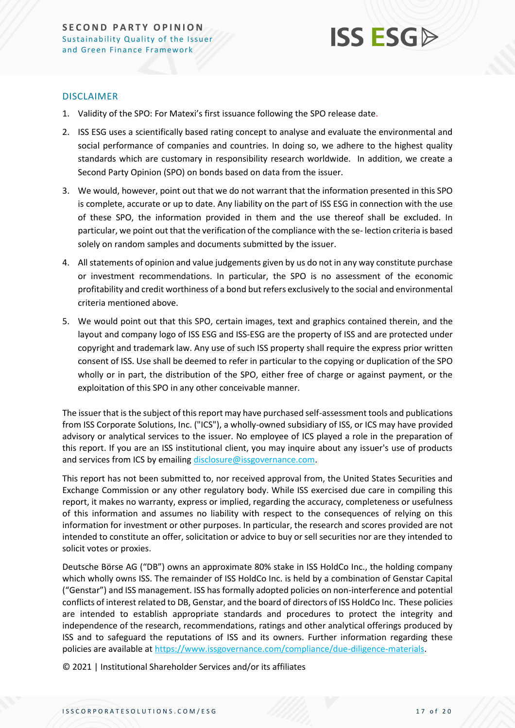

#### DISCLAIMER

- 1. Validity of the SPO: For Matexi's first issuance following the SPO release date.
- 2. ISS ESG uses a scientifically based rating concept to analyse and evaluate the environmental and social performance of companies and countries. In doing so, we adhere to the highest quality standards which are customary in responsibility research worldwide. In addition, we create a Second Party Opinion (SPO) on bonds based on data from the issuer.
- 3. We would, however, point out that we do not warrant that the information presented in this SPO is complete, accurate or up to date. Any liability on the part of ISS ESG in connection with the use of these SPO, the information provided in them and the use thereof shall be excluded. In particular, we point out that the verification of the compliance with the se- lection criteria is based solely on random samples and documents submitted by the issuer.
- 4. All statements of opinion and value judgements given by us do not in any way constitute purchase or investment recommendations. In particular, the SPO is no assessment of the economic profitability and credit worthiness of a bond but refers exclusively to the social and environmental criteria mentioned above.
- 5. We would point out that this SPO, certain images, text and graphics contained therein, and the layout and company logo of ISS ESG and ISS-ESG are the property of ISS and are protected under copyright and trademark law. Any use of such ISS property shall require the express prior written consent of ISS. Use shall be deemed to refer in particular to the copying or duplication of the SPO wholly or in part, the distribution of the SPO, either free of charge or against payment, or the exploitation of this SPO in any other conceivable manner.

The issuer that is the subject of this report may have purchased self-assessment tools and publications from ISS Corporate Solutions, Inc. ("ICS"), a wholly-owned subsidiary of ISS, or ICS may have provided advisory or analytical services to the issuer. No employee of ICS played a role in the preparation of this report. If you are an ISS institutional client, you may inquire about any issuer's use of products and services from ICS by emailin[g disclosure@issgovernance.com.](mailto:disclosure@issgovernance.com)

This report has not been submitted to, nor received approval from, the United States Securities and Exchange Commission or any other regulatory body. While ISS exercised due care in compiling this report, it makes no warranty, express or implied, regarding the accuracy, completeness or usefulness of this information and assumes no liability with respect to the consequences of relying on this information for investment or other purposes. In particular, the research and scores provided are not intended to constitute an offer, solicitation or advice to buy or sell securities nor are they intended to solicit votes or proxies.

Deutsche Börse AG ("DB") owns an approximate 80% stake in ISS HoldCo Inc., the holding company which wholly owns ISS. The remainder of ISS HoldCo Inc. is held by a combination of Genstar Capital ("Genstar") and ISS management. ISS has formally adopted policies on non-interference and potential conflicts of interest related to DB, Genstar, and the board of directors of ISS HoldCo Inc. These policies are intended to establish appropriate standards and procedures to protect the integrity and independence of the research, recommendations, ratings and other analytical offerings produced by ISS and to safeguard the reputations of ISS and its owners. Further information regarding these policies are available a[t https://www.issgovernance.com/compliance/due-diligence-materials.](https://www.issgovernance.com/compliance/due-diligence-materials)

© 2021 | Institutional Shareholder Services and/or its affiliates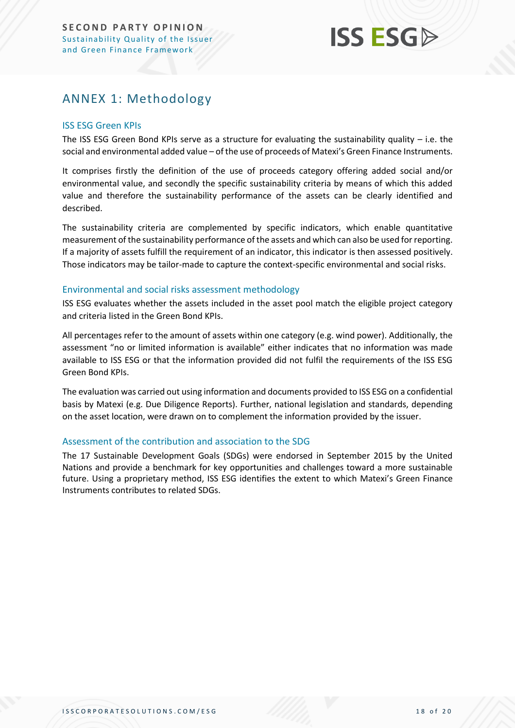## <span id="page-17-0"></span>ANNEX 1: Methodology

#### ISS ESG Green KPIs

The ISS ESG Green Bond KPIs serve as a structure for evaluating the sustainability quality  $-$  i.e. the social and environmental added value – of the use of proceeds of Matexi's Green Finance Instruments.

It comprises firstly the definition of the use of proceeds category offering added social and/or environmental value, and secondly the specific sustainability criteria by means of which this added value and therefore the sustainability performance of the assets can be clearly identified and described.

The sustainability criteria are complemented by specific indicators, which enable quantitative measurement of the sustainability performance of the assets and which can also be used for reporting. If a majority of assets fulfill the requirement of an indicator, this indicator is then assessed positively. Those indicators may be tailor-made to capture the context-specific environmental and social risks.

#### Environmental and social risks assessment methodology

ISS ESG evaluates whether the assets included in the asset pool match the eligible project category and criteria listed in the Green Bond KPIs.

All percentages refer to the amount of assets within one category (e.g. wind power). Additionally, the assessment "no or limited information is available" either indicates that no information was made available to ISS ESG or that the information provided did not fulfil the requirements of the ISS ESG Green Bond KPIs.

The evaluation was carried out using information and documents provided to ISS ESG on a confidential basis by Matexi (e.g. Due Diligence Reports). Further, national legislation and standards, depending on the asset location, were drawn on to complement the information provided by the issuer.

#### Assessment of the contribution and association to the SDG

The 17 Sustainable Development Goals (SDGs) were endorsed in September 2015 by the United Nations and provide a benchmark for key opportunities and challenges toward a more sustainable future. Using a proprietary method, ISS ESG identifies the extent to which Matexi's Green Finance Instruments contributes to related SDGs.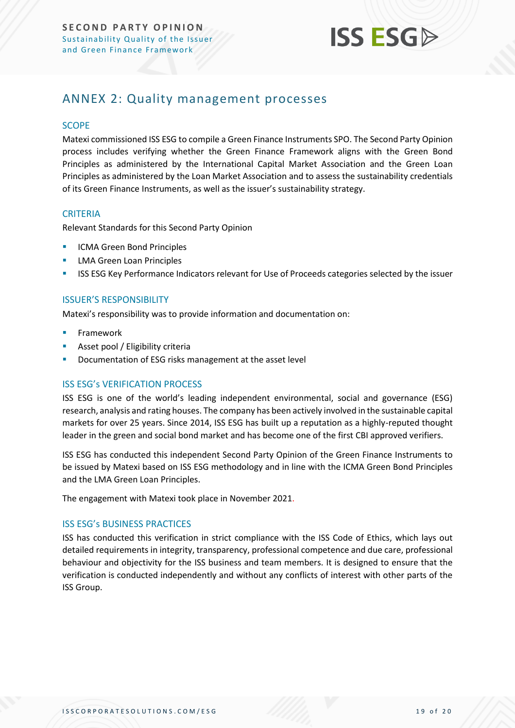

### <span id="page-18-0"></span>ANNEX 2: Quality management processes

#### **SCOPE**

Matexi commissioned ISS ESG to compile a Green Finance Instruments SPO. The Second Party Opinion process includes verifying whether the Green Finance Framework aligns with the Green Bond Principles as administered by the International Capital Market Association and the Green Loan Principles as administered by the Loan Market Association and to assess the sustainability credentials of its Green Finance Instruments, as well as the issuer's sustainability strategy.

#### **CRITERIA**

Relevant Standards for this Second Party Opinion

- **ICMA Green Bond Principles**
- **■** LMA Green Loan Principles
- ISS ESG Key Performance Indicators relevant for Use of Proceeds categories selected by the issuer

#### ISSUER'S RESPONSIBILITY

Matexi's responsibility was to provide information and documentation on:

- **Framework**
- Asset pool / Eligibility criteria
- Documentation of ESG risks management at the asset level

#### ISS ESG's VERIFICATION PROCESS

ISS ESG is one of the world's leading independent environmental, social and governance (ESG) research, analysis and rating houses. The company has been actively involved in the sustainable capital markets for over 25 years. Since 2014, ISS ESG has built up a reputation as a highly-reputed thought leader in the green and social bond market and has become one of the first CBI approved verifiers.

ISS ESG has conducted this independent Second Party Opinion of the Green Finance Instruments to be issued by Matexi based on ISS ESG methodology and in line with the ICMA Green Bond Principles and the LMA Green Loan Principles.

The engagement with Matexi took place in November 2021.

#### ISS ESG's BUSINESS PRACTICES

ISS has conducted this verification in strict compliance with the ISS Code of Ethics, which lays out detailed requirements in integrity, transparency, professional competence and due care, professional behaviour and objectivity for the ISS business and team members. It is designed to ensure that the verification is conducted independently and without any conflicts of interest with other parts of the ISS Group.